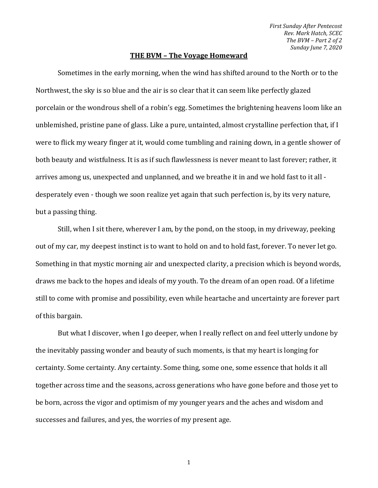*First Sunday After Pentecost Rev. Mark Hatch, SCEC The BVM – Part 2 of 2 Sunday June 7, 2020*

## **THE BVM – The Voyage Homeward**

Sometimes in the early morning, when the wind has shifted around to the North or to the Northwest, the sky is so blue and the air is so clear that it can seem like perfectly glazed porcelain or the wondrous shell of a robin's egg. Sometimes the brightening heavens loom like an unblemished, pristine pane of glass. Like a pure, untainted, almost crystalline perfection that, if I were to flick my weary finger at it, would come tumbling and raining down, in a gentle shower of both beauty and wistfulness. It is as if such flawlessness is never meant to last forever; rather, it arrives among us, unexpected and unplanned, and we breathe it in and we hold fast to it all desperately even - though we soon realize yet again that such perfection is, by its very nature, but a passing thing.

Still, when I sit there, wherever I am, by the pond, on the stoop, in my driveway, peeking out of my car, my deepest instinct is to want to hold on and to hold fast, forever. To never let go. Something in that mystic morning air and unexpected clarity, a precision which is beyond words, draws me back to the hopes and ideals of my youth. To the dream of an open road. Of a lifetime still to come with promise and possibility, even while heartache and uncertainty are forever part of this bargain.

But what I discover, when I go deeper, when I really reflect on and feel utterly undone by the inevitably passing wonder and beauty of such moments, is that my heart is longing for certainty. Some certainty. Any certainty. Some thing, some one, some essence that holds it all together across time and the seasons, across generations who have gone before and those yet to be born, across the vigor and optimism of my younger years and the aches and wisdom and successes and failures, and yes, the worries of my present age.

1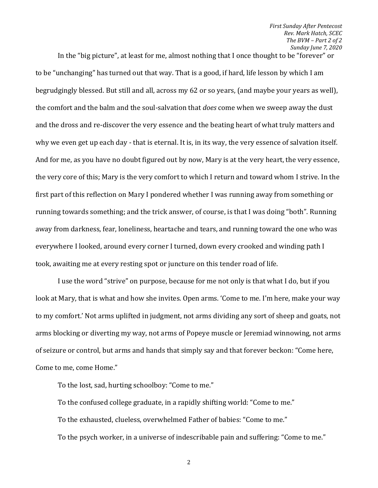*First Sunday After Pentecost Rev. Mark Hatch, SCEC The BVM – Part 2 of 2 Sunday June 7, 2020*

In the "big picture", at least for me, almost nothing that I once thought to be "forever" or to be "unchanging" has turned out that way. That is a good, if hard, life lesson by which I am begrudgingly blessed. But still and all, across my 62 or so years, (and maybe your years as well), the comfort and the balm and the soul-salvation that *does* come when we sweep away the dust and the dross and re-discover the very essence and the beating heart of what truly matters and why we even get up each day - that is eternal. It is, in its way, the very essence of salvation itself. And for me, as you have no doubt figured out by now, Mary is at the very heart, the very essence, the very core of this; Mary is the very comfort to which I return and toward whom I strive. In the first part of this reflection on Mary I pondered whether I was running away from something or running towards something; and the trick answer, of course, is that I was doing "both". Running away from darkness, fear, loneliness, heartache and tears, and running toward the one who was everywhere I looked, around every corner I turned, down every crooked and winding path I took, awaiting me at every resting spot or juncture on this tender road of life.

I use the word "strive" on purpose, because for me not only is that what I do, but if you look at Mary, that is what and how she invites. Open arms. 'Come to me. I'm here, make your way to my comfort.' Not arms uplifted in judgment, not arms dividing any sort of sheep and goats, not arms blocking or diverting my way, not arms of Popeye muscle or Jeremiad winnowing, not arms of seizure or control, but arms and hands that simply say and that forever beckon: "Come here, Come to me, come Home."

To the lost, sad, hurting schoolboy: "Come to me."

To the confused college graduate, in a rapidly shifting world: "Come to me." To the exhausted, clueless, overwhelmed Father of babies: "Come to me." To the psych worker, in a universe of indescribable pain and suffering: "Come to me."

2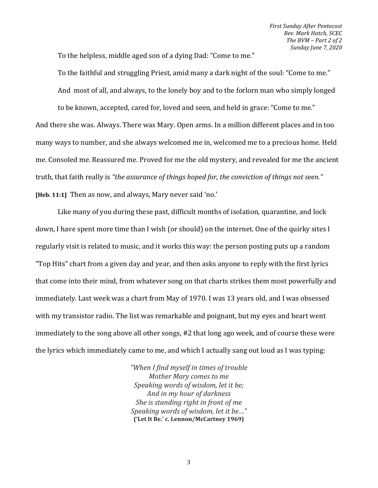To the helpless, middle aged son of a dying Dad: "Come to me."

To the faithful and struggling Priest, amid many a dark night of the soul: "Come to me." And most of all, and always, to the lonely boy and to the forlorn man who simply longed to be known, accepted, cared for, loved and seen, and held in grace: "Come to me." And there she was. Always. There was Mary. Open arms. In a million different places and in too many ways to number, and she always welcomed me in, welcomed me to a precious home. Held

truth, that faith really is *"the assurance of things hoped for, the conviction of things not seen."*

me. Consoled me. Reassured me. Proved for me the old mystery, and revealed for me the ancient

**[Heb. 11:1]** Then as now, and always, Mary never said 'no.'

Like many of you during these past, difficult months of isolation, quarantine, and lock down, I have spent more time than I wish (or should) on the internet. One of the quirky sites I regularly visit is related to music, and it works this way: the person posting puts up a random "Top Hits" chart from a given day and year, and then asks anyone to reply with the first lyrics that come into their mind, from whatever song on that charts strikes them most powerfully and immediately. Last week was a chart from May of 1970. I was 13 years old, and I was obsessed with my transistor radio. The list was remarkable and poignant, but my eyes and heart went immediately to the song above all other songs, #2 that long ago week, and of course these were the lyrics which immediately came to me, and which I actually sang out loud as I was typing:

> *"When I find myself in times of trouble Mother Mary comes to me Speaking words of wisdom, let it be; And in my hour of darkness She is standing right in front of me Speaking words of wisdom, let it be…"* **('Let It Be.' c. Lennon/McCartney 1969)**

> > 3